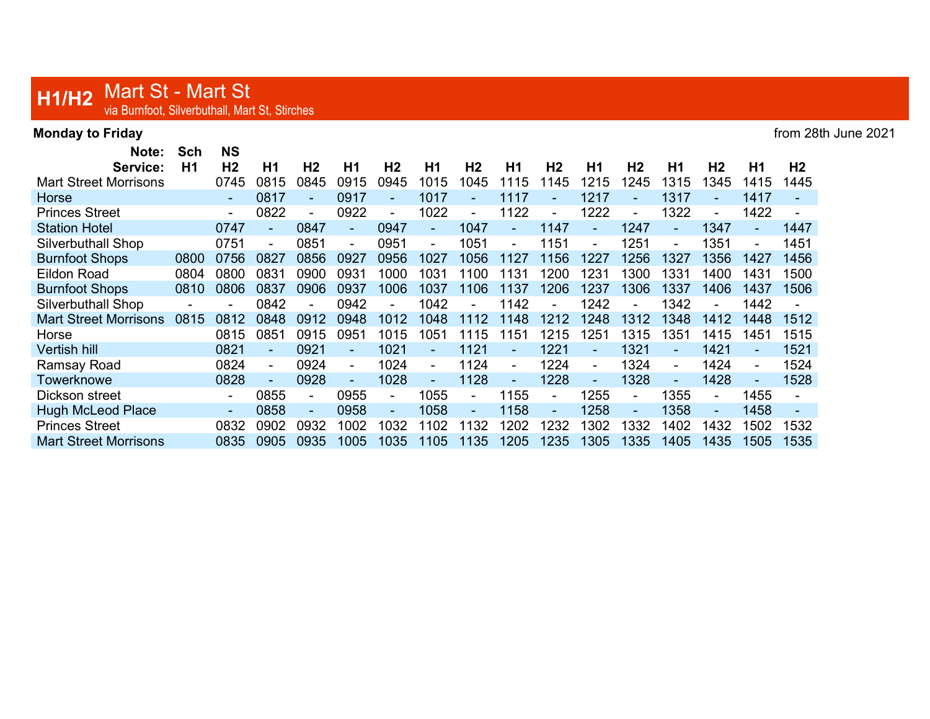## H1/H2 Mart St - Mart St<br>via Burnfoot, Silverbuthall, Mart St, Stirches

| <b>Monday to Friday</b>        |                  |                             |        |                |        |                        |                |                        |                |                |                |                        |                |                |                | from 28th June 2021 |
|--------------------------------|------------------|-----------------------------|--------|----------------|--------|------------------------|----------------|------------------------|----------------|----------------|----------------|------------------------|----------------|----------------|----------------|---------------------|
| Note:<br>Service:              | <b>Sch</b><br>H1 | <b>NS</b><br>H <sub>2</sub> | H1     | H <sub>2</sub> | H1     | H <sub>2</sub>         | H1             | H <sub>2</sub>         | H1             | H <sub>2</sub> | H1             | H <sub>2</sub>         | H <sub>1</sub> | H <sub>2</sub> | H <sub>1</sub> | H <sub>2</sub>      |
| <b>Mart Street Morrisons</b>   |                  | 0745                        | 0815   | 0845           | 0915   | 0945                   | 1015           | 1045                   | 1115           | 145            | 1215           | 1245                   | 1315           | 1345           | 1415           | 1445                |
|                                |                  |                             | 0817   | $\sim$         | 0917   | $\blacksquare$         | 1017           | $\blacksquare$         | 1117           |                | 1217           | $\mathbf{r}$           | 1317           |                | 1417           |                     |
| Horse<br><b>Princes Street</b> |                  | $\sim$                      | 0822   |                | 0922   |                        | 1022           |                        | 1122           |                | 1222           |                        | 1322           |                | 1422           | $\blacksquare$      |
|                                |                  | $\blacksquare$              |        | $\sim$<br>0847 |        | $\blacksquare$<br>0947 |                | $\blacksquare$<br>1047 |                | 1147           |                | $\blacksquare$<br>1247 |                | 1347           |                | 1447                |
| <b>Station Hotel</b>           |                  | 0747                        | $\sim$ |                | $\sim$ |                        | $\sim$         |                        | $\sim$         |                | $\sim$         |                        | $\sim$         |                | $\blacksquare$ |                     |
| Silverbuthall Shop             |                  | 0751                        |        | 0851           |        | 0951                   | $\blacksquare$ | 1051                   | $\blacksquare$ | 1151           | $\blacksquare$ | 1251                   | $\blacksquare$ | 1351           | $\sim$         | 1451                |
| <b>Burnfoot Shops</b>          | 0800             | 0756                        | 0827   | 0856           | 0927   | 0956                   | 1027           | 1056                   | 127            | 156            | 1227           | 1256                   | 1327           | 1356           | 1427           | 1456                |
| Eildon Road                    | 0804             | 0800                        | 0831   | 0900           | 0931   | 1000                   | 1031           | 1100                   | 1131           | 1200           | 1231           | 1300                   | 1331           | 1400           | 1431           | 1500                |
| <b>Burnfoot Shops</b>          | 0810             | 0806                        | 0837   | 0906           | 0937   | 1006                   | 1037           | 1106                   | 1137           | 1206           | 1237           | 1306                   | 1337           | 1406           | 1437           | 1506                |
| Silverbuthall Shop             |                  |                             | 0842   | $\sim$         | 0942   |                        | 1042           | $\blacksquare$         | 1142           |                | 1242           |                        | 1342           |                | 1442           |                     |
| <b>Mart Street Morrisons</b>   | 0815             | 0812                        | 0848   | 0912           | 0948   | 1012                   | 1048           | 1112                   | 1148           | 1212           | 1248           | 1312                   | 1348           | 1412           | 1448           | 1512                |
| Horse                          |                  | 0815                        | 0851   | 0915           | 0951   | 1015                   | 1051           | 1115                   | 1151           | 1215           | 1251           | 1315                   | 1351           | 1415           | 1451           | 1515                |
| Vertish hill                   |                  | 0821                        |        | 0921           |        | 1021                   |                | 1121                   |                | 1221           |                | 1321                   |                | 1421           | $\blacksquare$ | 1521                |
| Ramsay Road                    |                  | 0824                        |        | 0924           |        | 1024                   |                | 1124                   | $\blacksquare$ | 1224           | $\blacksquare$ | 1324                   | $\blacksquare$ | 1424           | $\blacksquare$ | 1524                |
| Towerknowe                     |                  | 0828                        |        | 0928           |        | 1028                   |                | 1128                   |                | 1228           | $\blacksquare$ | 1328                   | $\blacksquare$ | 1428           | $\blacksquare$ | 1528                |
| Dickson street                 |                  | $\blacksquare$              | 0855   | $\blacksquare$ | 0955   | $\blacksquare$         | 1055           | $\blacksquare$         | 1155           | $\blacksquare$ | 1255           | $\blacksquare$         | 1355           |                | 1455           | $\blacksquare$      |
| <b>Hugh McLeod Place</b>       |                  | $\blacksquare$              | 0858   | $\sim$         | 0958   | ۰                      | 1058           | ٠                      | 1158           | $\sim$         | 1258           | $\blacksquare$         | 1358           |                | 1458           | $\blacksquare$      |
| <b>Princes Street</b>          |                  | 0832                        | 0902   | 0932           | 1002   | 1032                   | 1102           | 1132                   | 1202           | 1232           | 1302           | 1332                   | 1402           | 1432           | 1502           | 1532                |
| <b>Mart Street Morrisons</b>   |                  | 0835                        | 0905   | 0935           | 1005   | 1035                   | 1105           | 1135                   | 1205           | 1235           | 1305           | 1335                   | 1405           | 1435           | 1505           | 1535                |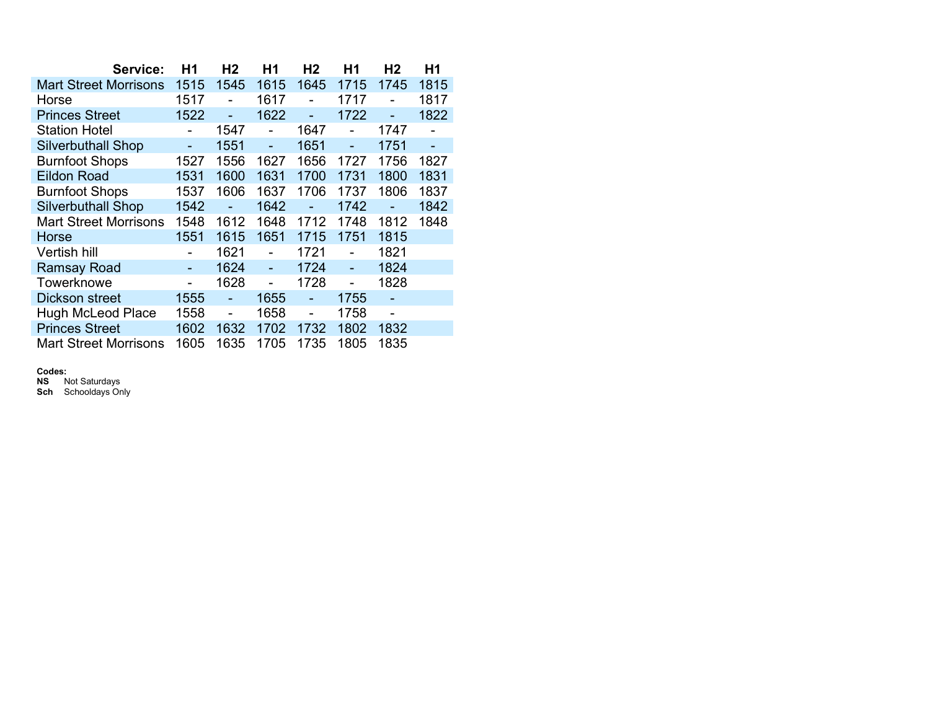| Service:                     | Η1             | H <sub>2</sub> | Η1   | H <sub>2</sub> | H <sub>1</sub> | H2   | H <sub>1</sub> |
|------------------------------|----------------|----------------|------|----------------|----------------|------|----------------|
| <b>Mart Street Morrisons</b> | 1515           | 1545           | 1615 | 1645           | 1715           | 1745 | 1815           |
| Horse                        | 1517           |                | 1617 |                | 1717           |      | 1817           |
| <b>Princes Street</b>        | 1522           |                | 1622 |                | 1722           |      | 1822           |
| <b>Station Hotel</b>         |                | 1547           |      | 1647           |                | 1747 |                |
| <b>Silverbuthall Shop</b>    |                | 1551           |      | 1651           |                | 1751 |                |
| <b>Burnfoot Shops</b>        | 1527           | 1556           | 1627 | 1656           | 1727           | 1756 | 1827           |
| <b>Eildon Road</b>           | 1531           | 1600           | 1631 | 1700           | 1731           | 1800 | 1831           |
| <b>Burnfoot Shops</b>        | 1537           | 1606           | 1637 | 1706           | 1737           | 1806 | 1837           |
| <b>Silverbuthall Shop</b>    | 1542           |                | 1642 |                | 1742           |      | 1842           |
| <b>Mart Street Morrisons</b> | 1548           | 1612           | 1648 | 1712           | 1748           | 1812 | 1848           |
| Horse                        | 1551           | 1615           | 1651 | 1715           | 1751           | 1815 |                |
| Vertish hill                 |                | 1621           |      | 1721           |                | 1821 |                |
| <b>Ramsay Road</b>           |                | 1624           |      | 1724           | L,             | 1824 |                |
| Towerknowe                   | $\blacksquare$ | 1628           |      | 1728           |                | 1828 |                |
| Dickson street               | 1555           |                | 1655 |                | 1755           |      |                |
| <b>Hugh McLeod Place</b>     | 1558           |                | 1658 |                | 1758           |      |                |
| <b>Princes Street</b>        | 1602           | 1632           | 1702 | 1732           | 1802           | 1832 |                |
| <b>Mart Street Morrisons</b> | 1605           | 1635           | 1705 | 1735           | 1805           | 1835 |                |

## Codes:

**NS** Not Saturdays

Sch Schooldays Only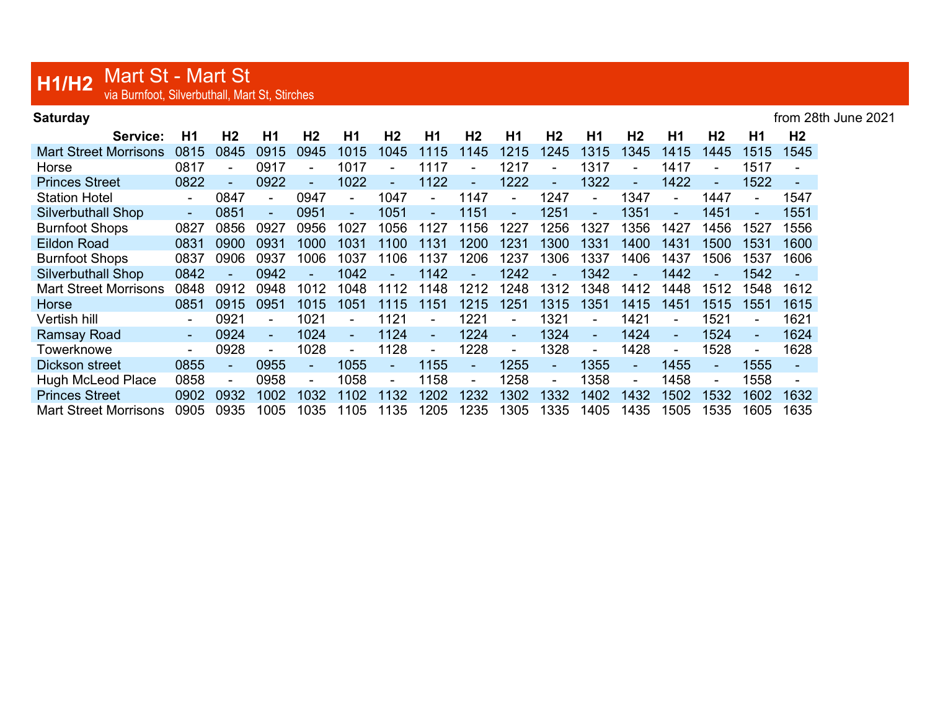## H1/H2 Mart St - Mart St<br>Via Burnfoot, Silverbuthall, Mart St, Stirches

| Saturday | from 28th June 2021 |
|----------|---------------------|
|----------|---------------------|

| Service:                     | Η1     | H <sub>2</sub> | H1     | H <sub>2</sub>           | H1             | H <sub>2</sub> | H1             | H <sub>2</sub> | H1             | H <sub>2</sub>           | Н1             | H <sub>2</sub> | H1   | H <sub>2</sub> | H1             | H <sub>2</sub> |
|------------------------------|--------|----------------|--------|--------------------------|----------------|----------------|----------------|----------------|----------------|--------------------------|----------------|----------------|------|----------------|----------------|----------------|
| <b>Mart Street Morrisons</b> | 0815   | 0845           | 0915   | 0945                     | 1015           | 1045           | 1115           | 1145           | 1215           | 1245                     | 1315           | 1345           | 1415 | 1445           | 1515           | 1545           |
| Horse                        | 0817   |                | 0917   |                          | 1017           | ۰              | 1117           |                | 1217           |                          | 1317           |                | 1417 |                | 1517           |                |
| <b>Princes Street</b>        | 0822   |                | 0922   |                          | 1022           | ۰              | 1122           | ۰              | 1222           |                          | 1322           |                | 1422 |                | 1522           |                |
| <b>Station Hotel</b>         |        | 0847           |        | 0947                     | ٠              | 1047           | $\blacksquare$ | 1147           | $\blacksquare$ | 1247                     | $\blacksquare$ | 1347           |      | 1447           |                | 1547           |
| <b>Silverbuthall Shop</b>    | $\sim$ | 0851           | $\sim$ | 0951                     | ÷.             | 1051           | $\sim$         | 1151           | $\sim$         | 1251                     | ÷.             | 1351           | ÷.   | 1451           | ٠.             | 1551           |
| <b>Burnfoot Shops</b>        | 0827   | 0856           | 0927   | 0956                     | 1027           | 1056           | 1127           | 1156           | 1227           | 1256                     | 1327           | 1356           | 1427 | 1456           | 1527           | 1556           |
| <b>Eildon Road</b>           | 0831   | 0900           | 0931   | 1000                     | 1031           | 1100           | 1131           | 1200           | 1231           | 1300                     | 1331           | 1400           | 1431 | 1500           | 1531           | 1600           |
| <b>Burnfoot Shops</b>        | 0837   | 0906           | 0937   | 1006                     | 1037           | 1106           | 1137           | 1206           | 1237           | 1306                     | 1337           | 1406           | 1437 | 1506           | 1537           | 1606           |
| <b>Silverbuthall Shop</b>    | 0842   |                | 0942   |                          | 1042           | $\blacksquare$ | 1142           |                | 1242           |                          | 1342           |                | 1442 |                | 1542           |                |
| <b>Mart Street Morrisons</b> | 0848   | 0912           | 0948   | 1012                     | 1048           | 1112           | 1148           | 1212           | 1248           | 1312                     | 1348           | 1412           | 1448 | 1512           | 1548           | 1612           |
| Horse                        | 0851   | 0915           | 0951   | 1015                     | 1051           | 1115           | 1151           | 1215           | 1251           | 1315                     | 1351           | 1415           | 1451 | 1515           | 1551           | 1615           |
| Vertish hill                 |        | 0921           |        | 1021                     | $\blacksquare$ | 1121           | $\blacksquare$ | 1221           | ۰.             | 1321                     | Ξ.             | 1421           |      | 1521           |                | 1621           |
| <b>Ramsay Road</b>           | $\sim$ | 0924           | $\sim$ | 1024                     | $\omega$       | 1124           | $\omega$       | 1224           | $\sim$         | 1324                     | $\blacksquare$ | 1424           | ÷.   | 1524           | $\blacksquare$ | 1624           |
| Towerknowe                   |        | 0928           | ۰      | 1028                     | ٠              | 1128           | $\blacksquare$ | 1228           | $\blacksquare$ | 1328                     | $\blacksquare$ | 1428           |      | 1528           |                | 1628           |
| Dickson street               | 0855   |                | 0955   | $\overline{\phantom{0}}$ | 1055           | ۰              | 1155           | ÷.             | 1255           | $\overline{\phantom{a}}$ | 1355           | -              | 1455 |                | 1555           |                |
| <b>Hugh McLeod Place</b>     | 0858   |                | 0958   |                          | 1058           | ۰              | 1158           | ٠              | 1258           |                          | 1358           | $\blacksquare$ | 1458 |                | 1558           |                |
| <b>Princes Street</b>        | 0902   | 0932           | 1002   | 1032                     | 1102           | 1132           | 1202           | 1232           | 1302           | 332                      | 1402           | 1432           | 1502 | 1532           | 1602           | 1632           |
| <b>Mart Street Morrisons</b> | 0905   | 0935           | 1005   | 1035                     | 1105           | 1135           | 1205           | 1235           | 1305           | 1335                     | 1405           | 1435           | 1505 | 1535           | 1605           | 1635           |